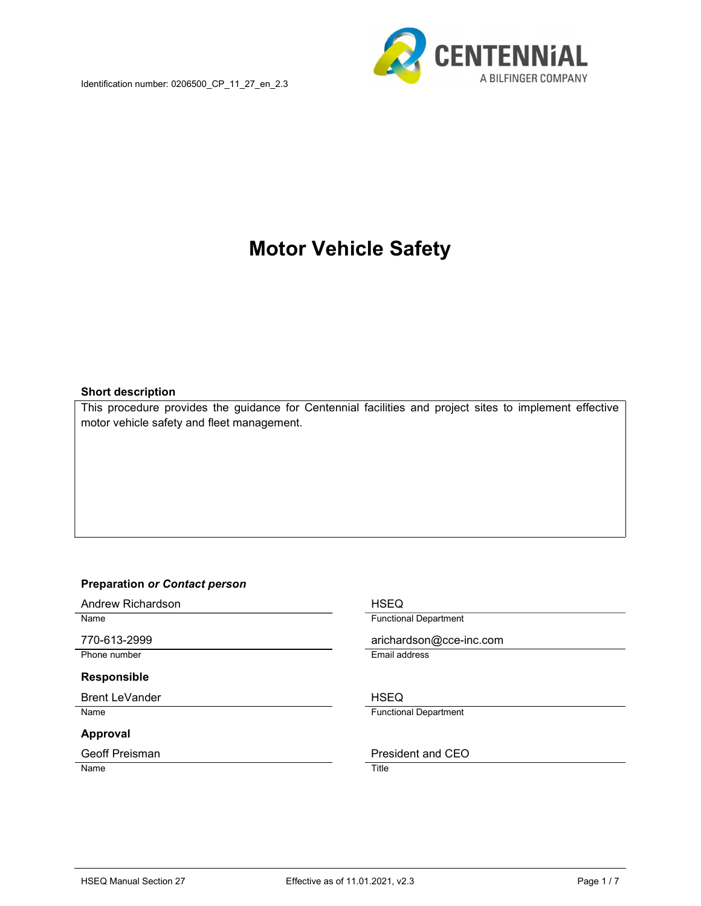

# Motor Vehicle Safety

#### Short description

This procedure provides the guidance for Centennial facilities and project sites to implement effective motor vehicle safety and fleet management.

#### Preparation or Contact person

Andrew Richardson **HSEQ** 

#### Responsible

Brent LeVander Note and The HSEQ

#### Approval

Name Title

Name **Functional Department** 

770-613-2999 arichardson@cce-inc.com

Phone number **Email address** 

Name **Functional Department** 

#### Geoff Preisman **President and CEO**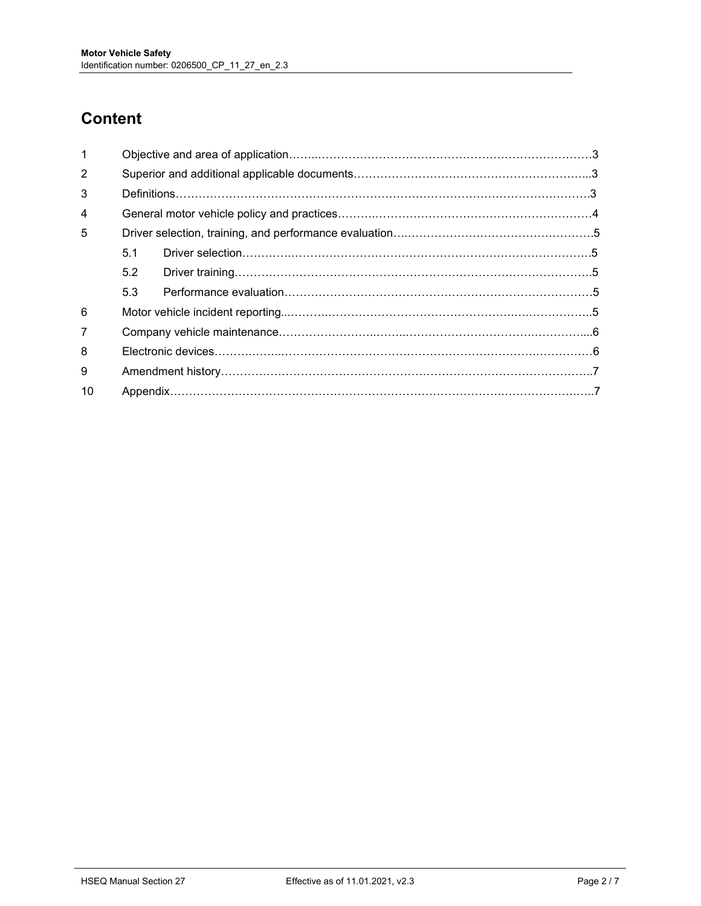## **Content**

| 1              |     |  |  |  |
|----------------|-----|--|--|--|
| 2              |     |  |  |  |
| 3              |     |  |  |  |
| $\overline{4}$ |     |  |  |  |
| 5              |     |  |  |  |
|                | 5.1 |  |  |  |
|                | 5.2 |  |  |  |
|                | 5.3 |  |  |  |
| 6              |     |  |  |  |
| 7              |     |  |  |  |
| 8              |     |  |  |  |
| 9              |     |  |  |  |
| 10             |     |  |  |  |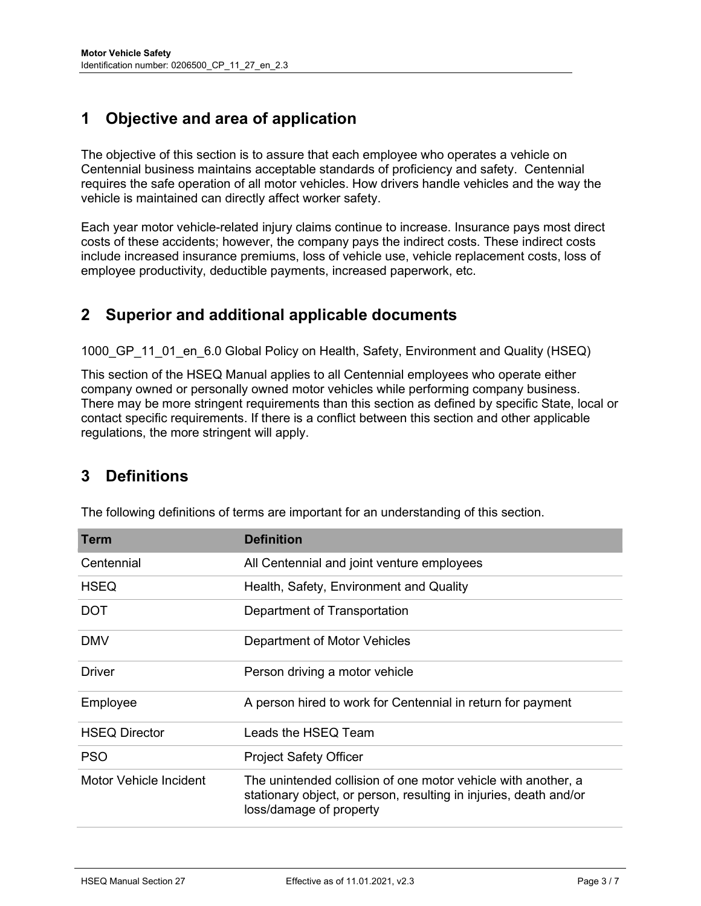## 1 Objective and area of application

The objective of this section is to assure that each employee who operates a vehicle on Centennial business maintains acceptable standards of proficiency and safety. Centennial requires the safe operation of all motor vehicles. How drivers handle vehicles and the way the vehicle is maintained can directly affect worker safety.

Each year motor vehicle-related injury claims continue to increase. Insurance pays most direct costs of these accidents; however, the company pays the indirect costs. These indirect costs include increased insurance premiums, loss of vehicle use, vehicle replacement costs, loss of employee productivity, deductible payments, increased paperwork, etc.

### 2 Superior and additional applicable documents

1000 GP 11 01 en 6.0 Global Policy on Health, Safety, Environment and Quality (HSEQ)

This section of the HSEQ Manual applies to all Centennial employees who operate either company owned or personally owned motor vehicles while performing company business. There may be more stringent requirements than this section as defined by specific State, local or contact specific requirements. If there is a conflict between this section and other applicable regulations, the more stringent will apply.

## 3 Definitions

| Term                   | <b>Definition</b>                                                                                                                                             |
|------------------------|---------------------------------------------------------------------------------------------------------------------------------------------------------------|
| Centennial             | All Centennial and joint venture employees                                                                                                                    |
| <b>HSEQ</b>            | Health, Safety, Environment and Quality                                                                                                                       |
| <b>DOT</b>             | Department of Transportation                                                                                                                                  |
| <b>DMV</b>             | Department of Motor Vehicles                                                                                                                                  |
| Driver                 | Person driving a motor vehicle                                                                                                                                |
| Employee               | A person hired to work for Centennial in return for payment                                                                                                   |
| <b>HSEQ Director</b>   | Leads the HSEQ Team                                                                                                                                           |
| <b>PSO</b>             | <b>Project Safety Officer</b>                                                                                                                                 |
| Motor Vehicle Incident | The unintended collision of one motor vehicle with another, a<br>stationary object, or person, resulting in injuries, death and/or<br>loss/damage of property |

The following definitions of terms are important for an understanding of this section.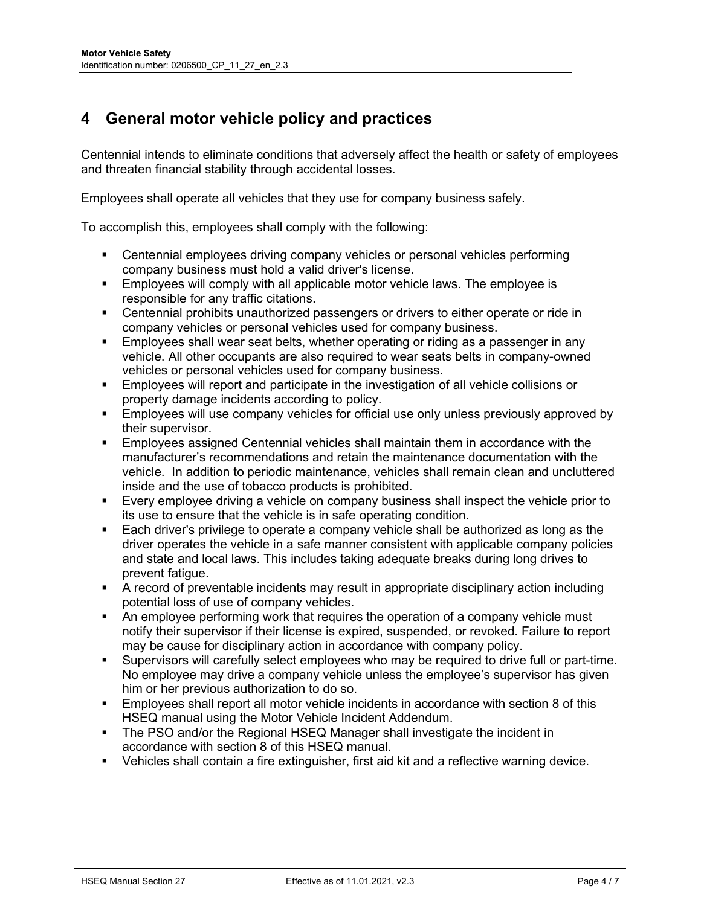## 4 General motor vehicle policy and practices

Centennial intends to eliminate conditions that adversely affect the health or safety of employees and threaten financial stability through accidental losses.

Employees shall operate all vehicles that they use for company business safely.

To accomplish this, employees shall comply with the following:

- **EXECENTEES CENTEES COMPANY** vehicles or personal vehicles performing company business must hold a valid driver's license.
- **Employees will comply with all applicable motor vehicle laws. The employee is** responsible for any traffic citations.
- Centennial prohibits unauthorized passengers or drivers to either operate or ride in company vehicles or personal vehicles used for company business.
- Employees shall wear seat belts, whether operating or riding as a passenger in any vehicle. All other occupants are also required to wear seats belts in company-owned vehicles or personal vehicles used for company business.
- **Employees will report and participate in the investigation of all vehicle collisions or** property damage incidents according to policy.
- Employees will use company vehicles for official use only unless previously approved by their supervisor.
- Employees assigned Centennial vehicles shall maintain them in accordance with the manufacturer's recommendations and retain the maintenance documentation with the vehicle. In addition to periodic maintenance, vehicles shall remain clean and uncluttered inside and the use of tobacco products is prohibited.
- Every employee driving a vehicle on company business shall inspect the vehicle prior to its use to ensure that the vehicle is in safe operating condition.
- Each driver's privilege to operate a company vehicle shall be authorized as long as the driver operates the vehicle in a safe manner consistent with applicable company policies and state and local laws. This includes taking adequate breaks during long drives to prevent fatigue.
- A record of preventable incidents may result in appropriate disciplinary action including potential loss of use of company vehicles.
- An employee performing work that requires the operation of a company vehicle must notify their supervisor if their license is expired, suspended, or revoked. Failure to report may be cause for disciplinary action in accordance with company policy.
- Supervisors will carefully select employees who may be required to drive full or part-time. No employee may drive a company vehicle unless the employee's supervisor has given him or her previous authorization to do so.
- Employees shall report all motor vehicle incidents in accordance with section 8 of this HSEQ manual using the Motor Vehicle Incident Addendum.
- The PSO and/or the Regional HSEQ Manager shall investigate the incident in accordance with section 8 of this HSEQ manual.
- Vehicles shall contain a fire extinguisher, first aid kit and a reflective warning device.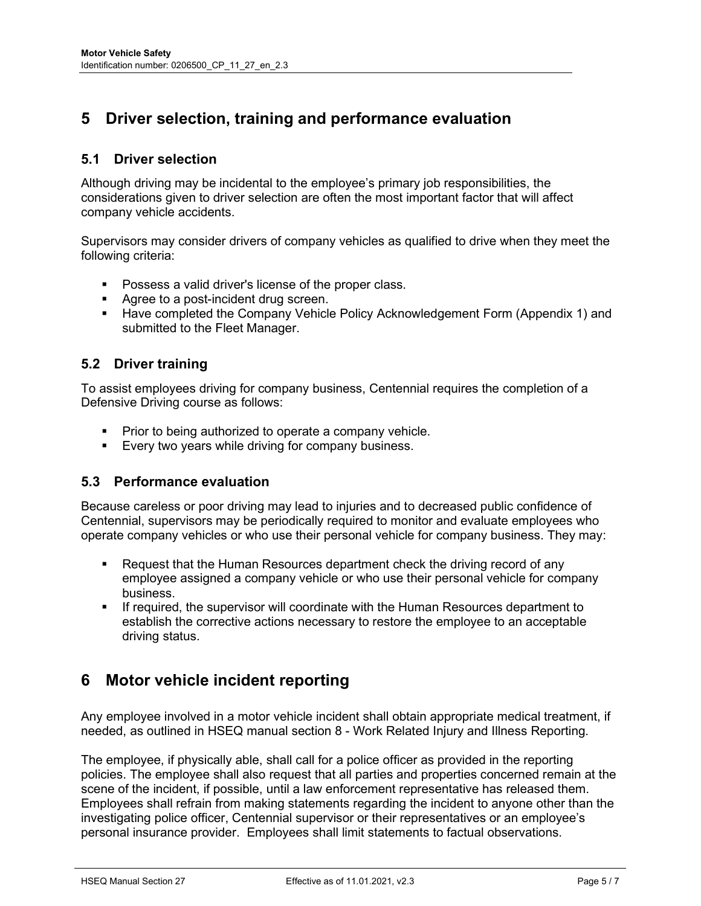## 5 Driver selection, training and performance evaluation

#### 5.1 Driver selection

Although driving may be incidental to the employee's primary job responsibilities, the considerations given to driver selection are often the most important factor that will affect company vehicle accidents.

Supervisors may consider drivers of company vehicles as qualified to drive when they meet the following criteria:

- **Possess a valid driver's license of the proper class.**
- Agree to a post-incident drug screen.
- **Have completed the Company Vehicle Policy Acknowledgement Form (Appendix 1) and** submitted to the Fleet Manager.

#### 5.2 Driver training

To assist employees driving for company business, Centennial requires the completion of a Defensive Driving course as follows:

- Prior to being authorized to operate a company vehicle.
- **Every two years while driving for company business.**

#### 5.3 Performance evaluation

Because careless or poor driving may lead to injuries and to decreased public confidence of Centennial, supervisors may be periodically required to monitor and evaluate employees who operate company vehicles or who use their personal vehicle for company business. They may:

- Request that the Human Resources department check the driving record of any employee assigned a company vehicle or who use their personal vehicle for company business.
- If required, the supervisor will coordinate with the Human Resources department to establish the corrective actions necessary to restore the employee to an acceptable driving status.

#### 6 Motor vehicle incident reporting

Any employee involved in a motor vehicle incident shall obtain appropriate medical treatment, if needed, as outlined in HSEQ manual section 8 - Work Related Injury and Illness Reporting.

The employee, if physically able, shall call for a police officer as provided in the reporting policies. The employee shall also request that all parties and properties concerned remain at the scene of the incident, if possible, until a law enforcement representative has released them. Employees shall refrain from making statements regarding the incident to anyone other than the investigating police officer, Centennial supervisor or their representatives or an employee's personal insurance provider. Employees shall limit statements to factual observations.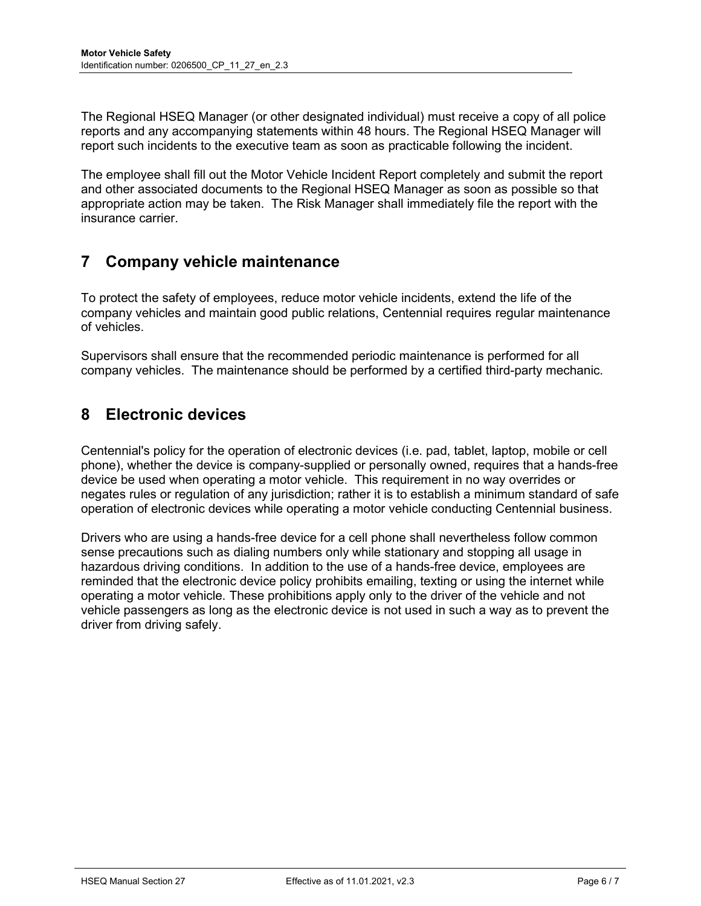The Regional HSEQ Manager (or other designated individual) must receive a copy of all police reports and any accompanying statements within 48 hours. The Regional HSEQ Manager will report such incidents to the executive team as soon as practicable following the incident.

The employee shall fill out the Motor Vehicle Incident Report completely and submit the report and other associated documents to the Regional HSEQ Manager as soon as possible so that appropriate action may be taken. The Risk Manager shall immediately file the report with the insurance carrier.

## 7 Company vehicle maintenance

To protect the safety of employees, reduce motor vehicle incidents, extend the life of the company vehicles and maintain good public relations, Centennial requires regular maintenance of vehicles.

Supervisors shall ensure that the recommended periodic maintenance is performed for all company vehicles. The maintenance should be performed by a certified third-party mechanic.

## 8 Electronic devices

Centennial's policy for the operation of electronic devices (i.e. pad, tablet, laptop, mobile or cell phone), whether the device is company-supplied or personally owned, requires that a hands-free device be used when operating a motor vehicle. This requirement in no way overrides or negates rules or regulation of any jurisdiction; rather it is to establish a minimum standard of safe operation of electronic devices while operating a motor vehicle conducting Centennial business.

Drivers who are using a hands-free device for a cell phone shall nevertheless follow common sense precautions such as dialing numbers only while stationary and stopping all usage in hazardous driving conditions. In addition to the use of a hands-free device, employees are reminded that the electronic device policy prohibits emailing, texting or using the internet while operating a motor vehicle. These prohibitions apply only to the driver of the vehicle and not vehicle passengers as long as the electronic device is not used in such a way as to prevent the driver from driving safely.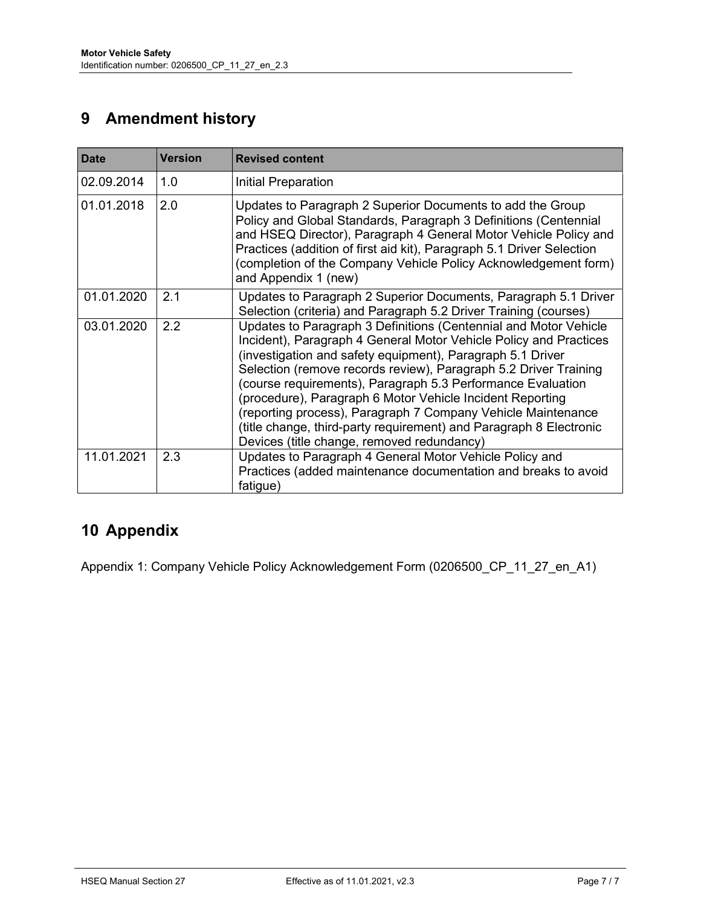## 9 Amendment history

| <b>Date</b> | <b>Version</b> | <b>Revised content</b>                                                                                                                                                                                                                                                                                                                                                                                                                                                                                                                                                                  |
|-------------|----------------|-----------------------------------------------------------------------------------------------------------------------------------------------------------------------------------------------------------------------------------------------------------------------------------------------------------------------------------------------------------------------------------------------------------------------------------------------------------------------------------------------------------------------------------------------------------------------------------------|
| 02.09.2014  | 1.0            | Initial Preparation                                                                                                                                                                                                                                                                                                                                                                                                                                                                                                                                                                     |
| 01.01.2018  | 2.0            | Updates to Paragraph 2 Superior Documents to add the Group<br>Policy and Global Standards, Paragraph 3 Definitions (Centennial<br>and HSEQ Director), Paragraph 4 General Motor Vehicle Policy and<br>Practices (addition of first aid kit), Paragraph 5.1 Driver Selection<br>(completion of the Company Vehicle Policy Acknowledgement form)<br>and Appendix 1 (new)                                                                                                                                                                                                                  |
| 01.01.2020  | 2.1            | Updates to Paragraph 2 Superior Documents, Paragraph 5.1 Driver<br>Selection (criteria) and Paragraph 5.2 Driver Training (courses)                                                                                                                                                                                                                                                                                                                                                                                                                                                     |
| 03.01.2020  | 2.2            | Updates to Paragraph 3 Definitions (Centennial and Motor Vehicle<br>Incident), Paragraph 4 General Motor Vehicle Policy and Practices<br>(investigation and safety equipment), Paragraph 5.1 Driver<br>Selection (remove records review), Paragraph 5.2 Driver Training<br>(course requirements), Paragraph 5.3 Performance Evaluation<br>(procedure), Paragraph 6 Motor Vehicle Incident Reporting<br>(reporting process), Paragraph 7 Company Vehicle Maintenance<br>(title change, third-party requirement) and Paragraph 8 Electronic<br>Devices (title change, removed redundancy) |
| 11.01.2021  | 2.3            | Updates to Paragraph 4 General Motor Vehicle Policy and<br>Practices (added maintenance documentation and breaks to avoid<br>fatigue)                                                                                                                                                                                                                                                                                                                                                                                                                                                   |

## 10 Appendix

Appendix 1: Company Vehicle Policy Acknowledgement Form (0206500\_CP\_11\_27\_en\_A1)